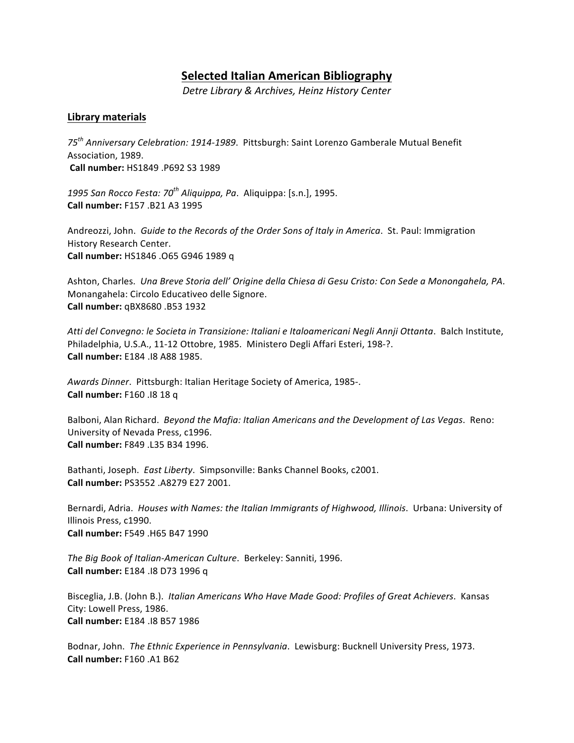# **Selected Italian American Bibliography**

*Detre Library & Archives, Heinz History Center*

# **Library materials**

75<sup>th</sup> Anniversary Celebration: 1914-1989. Pittsburgh: Saint Lorenzo Gamberale Mutual Benefit Association, 1989. **Call number:** HS1849 .P692 S3 1989

1995 San Rocco Festa: 70<sup>th</sup> Aliquippa, Pa. Aliquippa: [s.n.], 1995. **Call number:** F157 .B21 A3 1995

Andreozzi, John. Guide to the Records of the Order Sons of Italy in America. St. Paul: Immigration History Research Center. **Call number:** HS1846 .O65 G946 1989 q 

Ashton, Charles. Una Breve Storia dell' Origine della Chiesa di Gesu Cristo: Con Sede a Monongahela, PA. Monangahela: Circolo Educativeo delle Signore. **Call number:** qBX8680 .B53 1932 

Atti del Convegno: le Societa in Transizione: Italiani e Italoamericani Negli Annji Ottanta. Balch Institute, Philadelphia, U.S.A., 11-12 Ottobre, 1985. Ministero Degli Affari Esteri, 198-?. **Call number:** E184 .I8 A88 1985.

Awards Dinner. Pittsburgh: Italian Heritage Society of America, 1985-. **Call number:** F160 .I8 18 q

Balboni, Alan Richard. *Beyond the Mafia: Italian Americans and the Development of Las Vegas. Reno:* University of Nevada Press, c1996. **Call number:** F849 .L35 B34 1996. 

Bathanti, Joseph. East Liberty. Simpsonville: Banks Channel Books, c2001. **Call number:** PS3552 .A8279 E27 2001. 

Bernardi, Adria. *Houses with Names: the Italian Immigrants of Highwood, Illinois*. Urbana: University of Illinois Press, c1990. **Call number:** F549 .H65 B47 1990

The Big Book of Italian-American Culture. Berkeley: Sanniti, 1996. **Call number:** E184 .I8 D73 1996 q

Bisceglia, J.B. (John B.). *Italian Americans Who Have Made Good: Profiles of Great Achievers*. Kansas City: Lowell Press, 1986. **Call number:** E184 .I8 B57 1986

Bodnar, John. The Ethnic Experience in Pennsylvania. Lewisburg: Bucknell University Press, 1973. **Call number:** F160 .A1 B62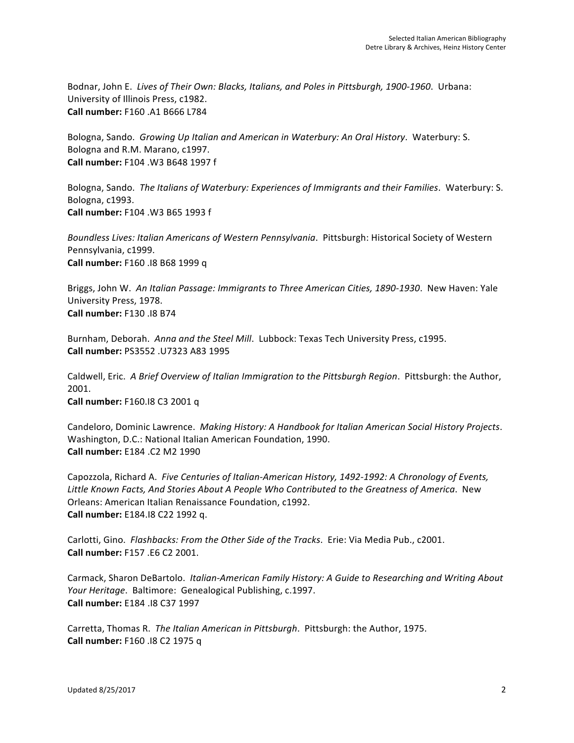Bodnar, John E. Lives of Their Own: Blacks, Italians, and Poles in Pittsburgh, 1900-1960. Urbana: University of Illinois Press, c1982. **Call number:** F160 .A1 B666 L784 

Bologna, Sando. Growing Up Italian and American in Waterbury: An Oral History. Waterbury: S. Bologna and R.M. Marano, c1997. **Call number:** F104 .W3 B648 1997 f 

Bologna, Sando. The Italians of Waterbury: Experiences of Immigrants and their Families. Waterbury: S. Bologna, c1993. **Call number:** F104 .W3 B65 1993 f

Boundless Lives: Italian Americans of Western Pennsylvania. Pittsburgh: Historical Society of Western Pennsylvania, c1999. **Call number:** F160 .18 B68 1999 q

Briggs, John W. An Italian Passage: Immigrants to Three American Cities, 1890-1930. New Haven: Yale University Press, 1978. **Call number:** F130 .I8 B74 

Burnham, Deborah. Anna and the Steel Mill. Lubbock: Texas Tech University Press, c1995. **Call number:** PS3552 .U7323 A83 1995

Caldwell, Eric. A Brief Overview of Italian Immigration to the Pittsburgh Region. Pittsburgh: the Author, 2001. 

**Call number:** F160.I8 C3 2001 q

Candeloro, Dominic Lawrence. *Making History: A Handbook for Italian American Social History Projects.* Washington, D.C.: National Italian American Foundation, 1990. **Call number:** E184 .C2 M2 1990

Capozzola, Richard A. *Five Centuries of Italian-American History, 1492-1992: A Chronology of Events,* Little Known Facts, And Stories About A People Who Contributed to the Greatness of America. New Orleans: American Italian Renaissance Foundation, c1992. **Call number:** E184.I8 C22 1992 q.

Carlotti, Gino. Flashbacks: From the Other Side of the Tracks. Erie: Via Media Pub., c2001. **Call number:** F157 .E6 C2 2001.

Carmack, Sharon DeBartolo. Italian-American Family History: A Guide to Researching and Writing About *Your Heritage.* Baltimore: Genealogical Publishing, c.1997. **Call number:** E184 .I8 C37 1997 

Carretta, Thomas R. The Italian American in Pittsburgh. Pittsburgh: the Author, 1975. **Call number:** F160 .18 C2 1975 q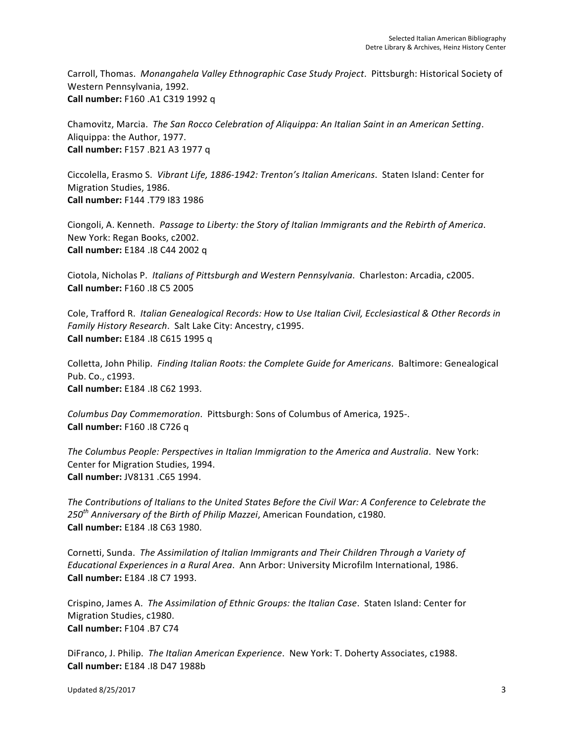Carroll, Thomas. Monangahela Valley Ethnographic Case Study Project. Pittsburgh: Historical Society of Western Pennsylvania, 1992. **Call number:** F160 .A1 C319 1992 q

Chamovitz, Marcia. The San Rocco Celebration of Aliquippa: An Italian Saint in an American Setting. Aliquippa: the Author, 1977. **Call number:** F157 .B21 A3 1977 q

Ciccolella, Erasmo S. Vibrant Life, 1886-1942: Trenton's Italian Americans. Staten Island: Center for Migration Studies, 1986. **Call number:** F144 .T79 I83 1986

Ciongoli, A. Kenneth. Passage to Liberty: the Story of Italian Immigrants and the Rebirth of America. New York: Regan Books, c2002. **Call number:** E184 .I8 C44 2002 q 

Ciotola, Nicholas P. *Italians of Pittsburgh and Western Pennsylvania*. Charleston: Arcadia, c2005. **Call number:** F160 .I8 C5 2005

Cole, Trafford R. *Italian Genealogical Records: How to Use Italian Civil, Ecclesiastical & Other Records in Family History Research.* Salt Lake City: Ancestry, c1995. **Call number:** E184 .18 C615 1995 q

Colletta, John Philip. Finding Italian Roots: the Complete Guide for Americans. Baltimore: Genealogical Pub. Co., c1993. **Call number:** E184 .I8 C62 1993. 

*Columbus Day Commemoration.* Pittsburgh: Sons of Columbus of America, 1925-. **Call number:** F160 .18 C726 q

The Columbus People: Perspectives in Italian Immigration to the America and Australia. New York: Center for Migration Studies, 1994. **Call number:** JV8131 .C65 1994.

The Contributions of *Italians to the United States Before the Civil War: A Conference to Celebrate the 250th Anniversary of the Birth of Philip Mazzei*, American Foundation, c1980. **Call number:** E184 .I8 C63 1980. 

Cornetti, Sunda. The Assimilation of Italian Immigrants and Their Children Through a Variety of *Educational Experiences in a Rural Area.* Ann Arbor: University Microfilm International, 1986. **Call number:** E184 .I8 C7 1993.

Crispino, James A. The Assimilation of Ethnic Groups: the Italian Case. Staten Island: Center for Migration Studies, c1980. **Call number:** F104 .B7 C74

DiFranco, J. Philip. The Italian American Experience. New York: T. Doherty Associates, c1988. **Call number:** E184 .I8 D47 1988b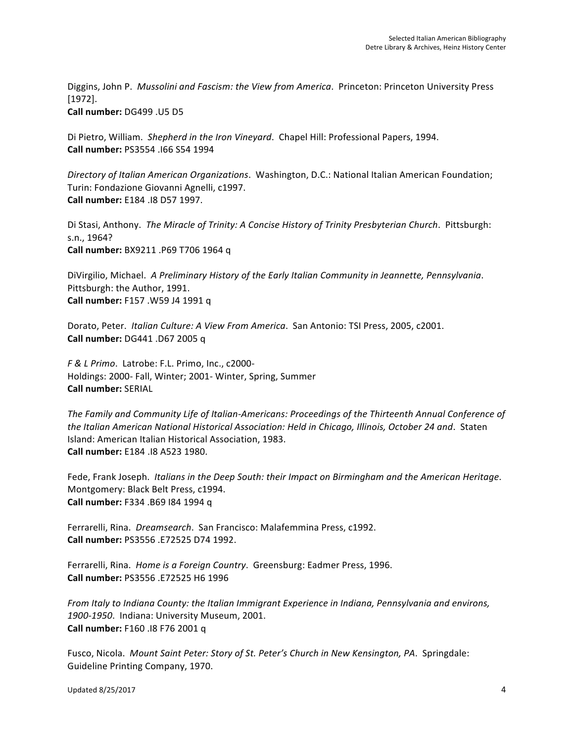Diggins, John P. Mussolini and Fascism: the View from America. Princeton: Princeton University Press [1972]. **Call number:** DG499 .U5 D5 

Di Pietro, William. Shepherd in the Iron Vineyard. Chapel Hill: Professional Papers, 1994. **Call number:** PS3554 .I66 S54 1994

*Directory of Italian American Organizations*. Washington, D.C.: National Italian American Foundation; Turin: Fondazione Giovanni Agnelli, c1997. **Call number:** E184 .I8 D57 1997.

Di Stasi, Anthony. The Miracle of Trinity: A Concise History of Trinity Presbyterian Church. Pittsburgh: s.n., 1964? **Call number:** BX9211 .P69 T706 1964 q

DiVirgilio, Michael. A Preliminary History of the Early Italian Community in Jeannette, Pennsylvania. Pittsburgh: the Author, 1991. **Call number:** F157 .W59 J4 1991 q

Dorato, Peter. *Italian Culture: A View From America*. San Antonio: TSI Press, 2005, c2001. **Call number:** DG441 .D67 2005 q

*F & L Primo*. Latrobe: F.L. Primo, Inc., c2000- Holdings: 2000- Fall, Winter; 2001- Winter, Spring, Summer **Call number:** SERIAL

The Family and Community Life of Italian-Americans: Proceedings of the Thirteenth Annual Conference of the Italian American National Historical Association: Held in Chicago, Illinois, October 24 and. Staten Island: American Italian Historical Association, 1983. **Call number:** E184 .I8 A523 1980. 

Fede, Frank Joseph. Italians in the Deep South: their Impact on Birmingham and the American Heritage. Montgomery: Black Belt Press, c1994. **Call number:** F334 .B69 184 1994 q

Ferrarelli, Rina. *Dreamsearch*. San Francisco: Malafemmina Press, c1992. **Call number:** PS3556 .E72525 D74 1992. 

Ferrarelli, Rina. Home is a Foreign Country. Greensburg: Eadmer Press, 1996. **Call number:** PS3556 .E72525 H6 1996 

*From* Italy to Indiana County: the Italian Immigrant Experience in Indiana, Pennsylvania and environs, 1900-1950. Indiana: University Museum, 2001. **Call number:** F160 .I8 F76 2001 q 

Fusco, Nicola. Mount Saint Peter: Story of St. Peter's Church in New Kensington, PA. Springdale: Guideline Printing Company, 1970.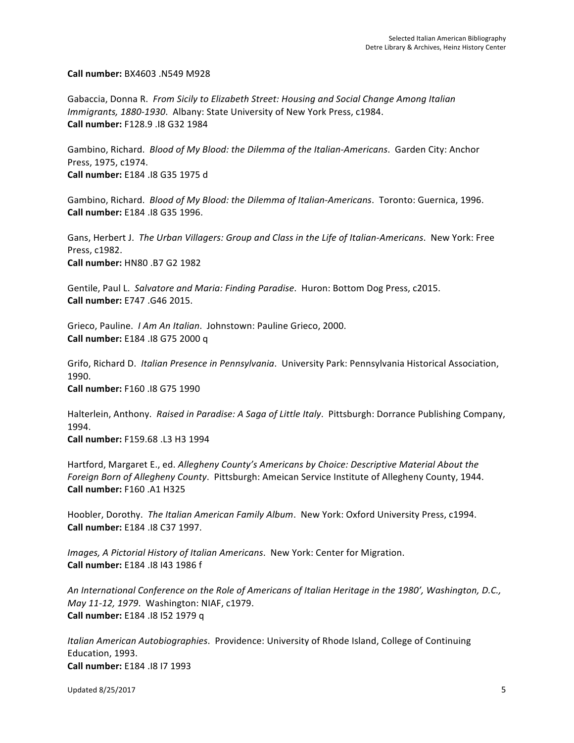**Call number:** BX4603 .N549 M928 

Gabaccia, Donna R. From Sicily to Elizabeth Street: Housing and Social Change Among Italian *Immigrants, 1880-1930. Albany: State University of New York Press, c1984.* **Call number:** F128.9 .I8 G32 1984 

Gambino, Richard. *Blood of My Blood: the Dilemma of the Italian-Americans*. Garden City: Anchor Press, 1975, c1974. **Call number:** E184 .I8 G35 1975 d 

Gambino, Richard. *Blood of My Blood: the Dilemma of Italian-Americans*. Toronto: Guernica, 1996. **Call number:** E184 .I8 G35 1996. 

Gans, Herbert J. The Urban Villagers: Group and Class in the Life of Italian-Americans. New York: Free Press, c1982. **Call number:** HN80 .B7 G2 1982

Gentile, Paul L. Salvatore and Maria: Finding Paradise. Huron: Bottom Dog Press, c2015. **Call number:** E747 .G46 2015. 

Grieco, Pauline. *I Am An Italian*. Johnstown: Pauline Grieco, 2000. **Call number:** E184 .I8 G75 2000 q

Grifo, Richard D. *Italian Presence in Pennsylvania*. University Park: Pennsylvania Historical Association, 1990. **Call number:** F160 .I8 G75 1990 

Halterlein, Anthony. Raised in Paradise: A Saga of Little Italy. Pittsburgh: Dorrance Publishing Company, 1994. 

**Call number:** F159.68 .L3 H3 1994 

Hartford, Margaret E., ed. Allegheny County's Americans by Choice: Descriptive Material About the *Foreign Born of Allegheny County.* Pittsburgh: Ameican Service Institute of Allegheny County, 1944. **Call number:** F160 .A1 H325 

Hoobler, Dorothy. The Italian American Family Album. New York: Oxford University Press, c1994. **Call number:** E184 .I8 C37 1997. 

*Images, A Pictorial History of Italian Americans.* New York: Center for Migration. **Call number:** E184 .I8 I43 1986 f 

An International Conference on the Role of Americans of Italian Heritage in the 1980', Washington, D.C., *May 11-12, 1979.* Washington: NIAF, c1979. **Call number:** E184 .I8 I52 1979 q

*Italian American Autobiographies.* Providence: University of Rhode Island, College of Continuing Education, 1993. **Call number:** E184 .I8 I7 1993

Updated 8/25/2017 5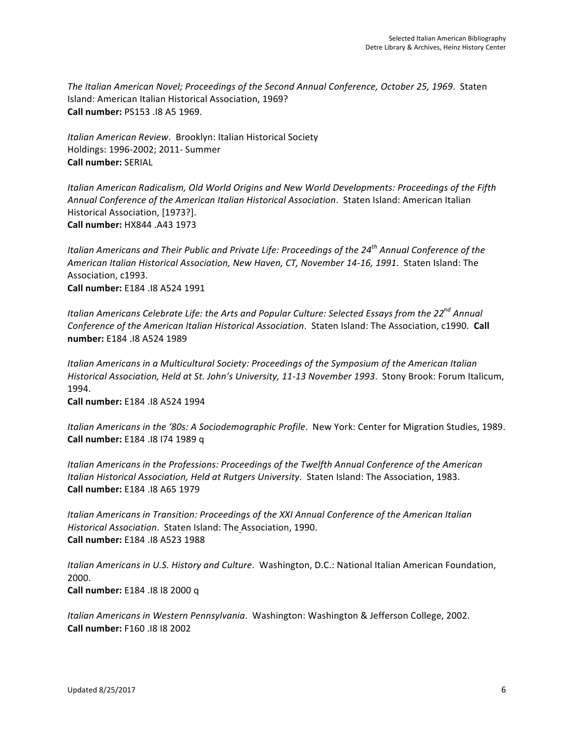The Italian American Novel; Proceedings of the Second Annual Conference, October 25, 1969. Staten Island: American Italian Historical Association, 1969? **Call number:** PS153 .I8 A5 1969.

*Italian American Review.* Brooklyn: Italian Historical Society Holdings: 1996-2002; 2011- Summer **Call number:** SERIAL

*Italian American Radicalism, Old World Origins and New World Developments: Proceedings of the Fifth* Annual Conference of the American Italian Historical Association. Staten Island: American Italian Historical Association, [1973?]. **Call number:** HX844 .A43 1973 

*Italian Americans and Their Public and Private Life: Proceedings of the 24<sup>th</sup> Annual Conference of the* American Italian Historical Association, New Haven, CT, November 14-16, 1991. Staten Island: The Association, c1993. **Call number:** E184 .I8 A524 1991 

*Italian Americans Celebrate Life: the Arts and Popular Culture: Selected Essays from the 22<sup>nd</sup> Annual Conference of the American Italian Historical Association.* Staten Island: The Association, c1990. Call **number:** E184 .I8 A524 1989 

*Italian Americans in a Multicultural Society: Proceedings of the Symposium of the American Italian Historical Association, Held at St. John's University, 11-13 November 1993. Stony Brook: Forum Italicum,* 1994. 

**Call number:** E184 .I8 A524 1994

Italian Americans in the '80s: A Sociodemographic Profile. New York: Center for Migration Studies, 1989. **Call number:** E184 .I8 I74 1989 q 

Italian Americans in the Professions: Proceedings of the Twelfth Annual Conference of the American *Italian Historical Association, Held at Rutgers University.* Staten Island: The Association, 1983. **Call number:** E184 .I8 A65 1979

*Italian Americans in Transition: Proceedings of the XXI Annual Conference of the American Italian Historical Association.* Staten Island: The Association, 1990. **Call number:** E184 .I8 A523 1988

*Italian Americans in U.S. History and Culture*. Washington, D.C.: National Italian American Foundation, 2000. 

**Call number:** E184 .I8 I8 2000 q

*Italian Americans in Western Pennsylvania.* Washington: Washington & Jefferson College, 2002. **Call number:** F160 .I8 I8 2002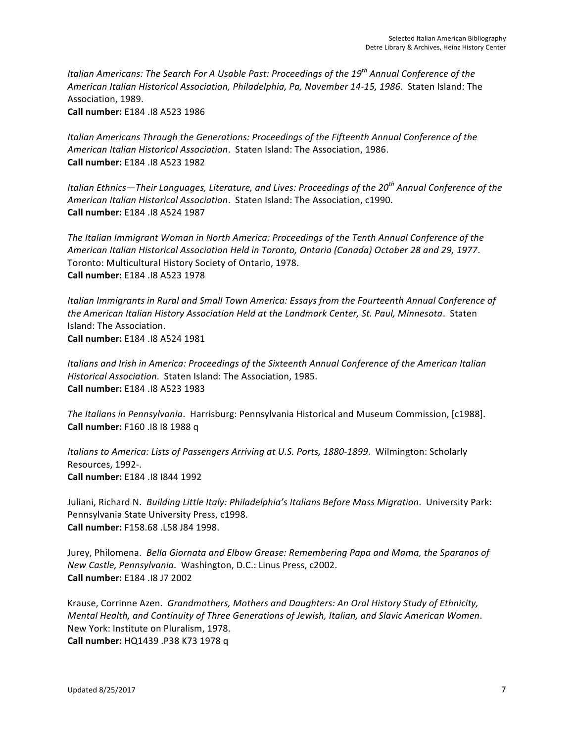*Italian Americans:* The Search For A Usable Past: Proceedings of the 19<sup>th</sup> Annual Conference of the American Italian Historical Association, Philadelphia, Pa, November 14-15, 1986. Staten Island: The Association, 1989.

**Call number:** E184 .I8 A523 1986 

Italian Americans Through the Generations: Proceedings of the Fifteenth Annual Conference of the American Italian Historical Association. Staten Island: The Association, 1986. **Call number:** E184 .I8 A523 1982

*Italian* Ethnics—Their Languages, Literature, and Lives: Proceedings of the 20<sup>th</sup> Annual Conference of the American Italian Historical Association. Staten Island: The Association, c1990. **Call number:** E184 .I8 A524 1987

The Italian Immigrant Woman in North America: Proceedings of the Tenth Annual Conference of the *American Italian Historical Association Held in Toronto, Ontario (Canada) October 28 and 29, 1977*. Toronto: Multicultural History Society of Ontario, 1978. **Call number:** E184 .I8 A523 1978

*Italian Immigrants in Rural and Small Town America: Essays from the Fourteenth Annual Conference of* the American Italian History Association Held at the Landmark Center, St. Paul, Minnesota. Staten Island: The Association. **Call number:** E184 .I8 A524 1981

*Italians and Irish in America: Proceedings of the Sixteenth Annual Conference of the American Italian Historical Association.* Staten Island: The Association, 1985. **Call number:** E184 .I8 A523 1983 

The Italians in Pennsylvania. Harrisburg: Pennsylvania Historical and Museum Commission, [c1988]. **Call number:** F160 .I8 I8 1988 q 

*Italians to America: Lists of Passengers Arriving at U.S. Ports, 1880-1899.* Wilmington: Scholarly Resources, 1992-. **Call number:** E184 .I8 I844 1992 

Juliani, Richard N. *Building Little Italy: Philadelphia's Italians Before Mass Migration*. University Park: Pennsylvania State University Press, c1998. **Call number:** F158.68 .L58 J84 1998. 

Jurey, Philomena. Bella Giornata and Elbow Grease: Remembering Papa and Mama, the Sparanos of *New Castle, Pennsylvania.* Washington, D.C.: Linus Press, c2002. **Call number:** E184 .I8 J7 2002

Krause, Corrinne Azen. Grandmothers, Mothers and Daughters: An Oral History Study of Ethnicity, *Mental Health, and Continuity of Three Generations of Jewish, Italian, and Slavic American Women.* New York: Institute on Pluralism, 1978. **Call number:** HQ1439 .P38 K73 1978 q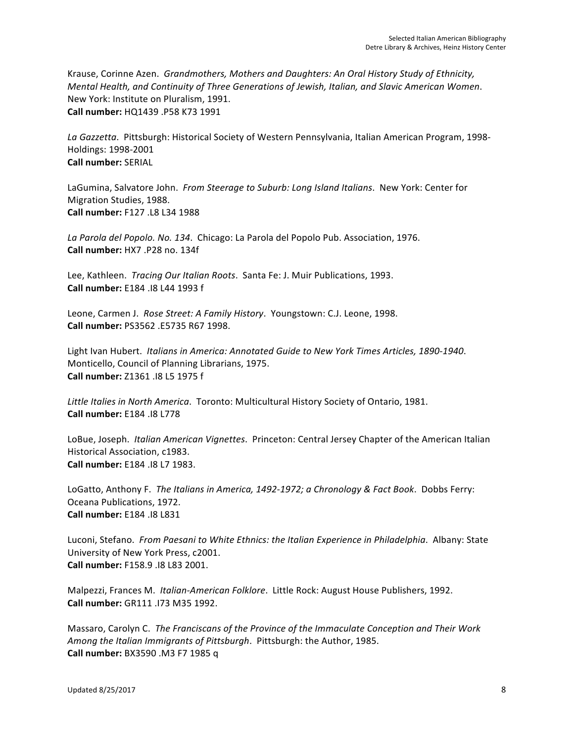Krause, Corinne Azen. Grandmothers, Mothers and Daughters: An Oral History Study of Ethnicity, *Mental Health, and Continuity of Three Generations of Jewish, Italian, and Slavic American Women.* New York: Institute on Pluralism, 1991. **Call number:** HQ1439 .P58 K73 1991

La Gazzetta. Pittsburgh: Historical Society of Western Pennsylvania, Italian American Program, 1998-Holdings: 1998-2001 **Call number:** SERIAL

LaGumina, Salvatore John. From Steerage to Suburb: Long Island Italians. New York: Center for Migration Studies, 1988. **Call number:** F127 .L8 L34 1988 

La Parola del Popolo. No. 134. Chicago: La Parola del Popolo Pub. Association, 1976. **Call number:** HX7 .P28 no. 134f

Lee, Kathleen. *Tracing Our Italian Roots*. Santa Fe: J. Muir Publications, 1993. **Call number:** E184 .I8 L44 1993 f

Leone, Carmen J. Rose Street: A Family History. Youngstown: C.J. Leone, 1998. **Call number:** PS3562 .E5735 R67 1998.

Light Ivan Hubert. *Italians in America: Annotated Guide to New York Times Articles, 1890-1940.* Monticello, Council of Planning Librarians, 1975. **Call number:** Z1361 .I8 L5 1975 f 

Little Italies in North America. Toronto: Multicultural History Society of Ontario, 1981. **Call number:** E184 .I8 L778

LoBue, Joseph. *Italian American Vignettes*. Princeton: Central Jersey Chapter of the American Italian Historical Association, c1983. **Call number:** E184 .I8 L7 1983.

LoGatto, Anthony F. The Italians in America, 1492-1972; a Chronology & Fact Book. Dobbs Ferry: Oceana Publications, 1972. **Call number:** E184 .I8 L831

Luconi, Stefano. From Paesani to White Ethnics: the Italian Experience in Philadelphia. Albany: State University of New York Press, c2001. **Call number:** F158.9 .I8 L83 2001. 

Malpezzi, Frances M. Italian-American Folklore. Little Rock: August House Publishers, 1992. **Call number:** GR111 .I73 M35 1992. 

Massaro, Carolyn C. The Franciscans of the Province of the Immaculate Conception and Their Work *Among the Italian Immigrants of Pittsburgh.* Pittsburgh: the Author, 1985. **Call number:** BX3590 .M3 F7 1985 q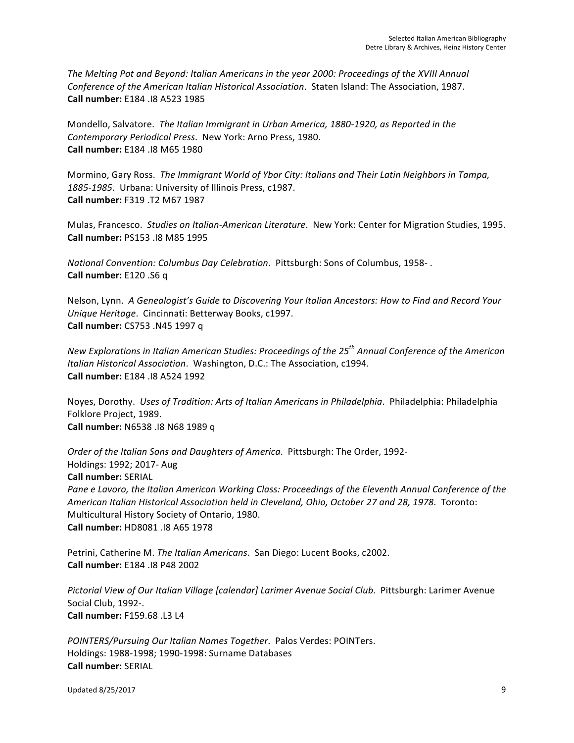The Melting Pot and Beyond: Italian Americans in the year 2000: Proceedings of the XVIII Annual *Conference of the American Italian Historical Association*. Staten Island: The Association, 1987. **Call number:** E184 .I8 A523 1985 

Mondello, Salvatore. The Italian Immigrant in Urban America, 1880-1920, as Reported in the *Contemporary Periodical Press.* New York: Arno Press, 1980. **Call number:** E184 .I8 M65 1980

Mormino, Gary Ross. The Immigrant World of Ybor City: Italians and Their Latin Neighbors in Tampa, 1885-1985. Urbana: University of Illinois Press, c1987. **Call number:** F319 .T2 M67 1987 

Mulas, Francesco. Studies on Italian-American Literature. New York: Center for Migration Studies, 1995. **Call number:** PS153 .I8 M85 1995

*National Convention: Columbus Day Celebration.* Pittsburgh: Sons of Columbus, 1958-. **Call number:** E120 .S6 q

Nelson, Lynn. A Genealogist's Guide to Discovering Your Italian Ancestors: How to Find and Record Your *Unique Heritage.* Cincinnati: Betterway Books, c1997. **Call number:** CS753 .N45 1997 q 

*New Explorations in Italian American Studies: Proceedings of the 25<sup>th</sup> Annual Conference of the American Italian Historical Association.* Washington, D.C.: The Association, c1994. **Call number:** E184 .I8 A524 1992 

Noyes, Dorothy. Uses of Tradition: Arts of Italian Americans in Philadelphia. Philadelphia: Philadelphia Folklore Project, 1989. **Call number:** N6538 .I8 N68 1989 q 

*Order of the Italian Sons and Daughters of America.* Pittsburgh: The Order, 1992-Holdings: 1992; 2017- Aug **Call number:** SERIAL Pane e Lavoro, the Italian American Working Class: Proceedings of the Eleventh Annual Conference of the American Italian Historical Association held in Cleveland, Ohio, October 27 and 28, 1978. Toronto: Multicultural History Society of Ontario, 1980. **Call number:** HD8081 .I8 A65 1978

Petrini, Catherine M. *The Italian Americans*. San Diego: Lucent Books, c2002. **Call number:** E184 .I8 P48 2002 

Pictorial View of Our Italian Village [calendar] Larimer Avenue Social Club. Pittsburgh: Larimer Avenue Social Club, 1992-. **Call number:** F159.68 .L3 L4

*POINTERS/Pursuing Our Italian Names Together.* Palos Verdes: POINTers. Holdings: 1988-1998; 1990-1998: Surname Databases **Call number:** SERIAL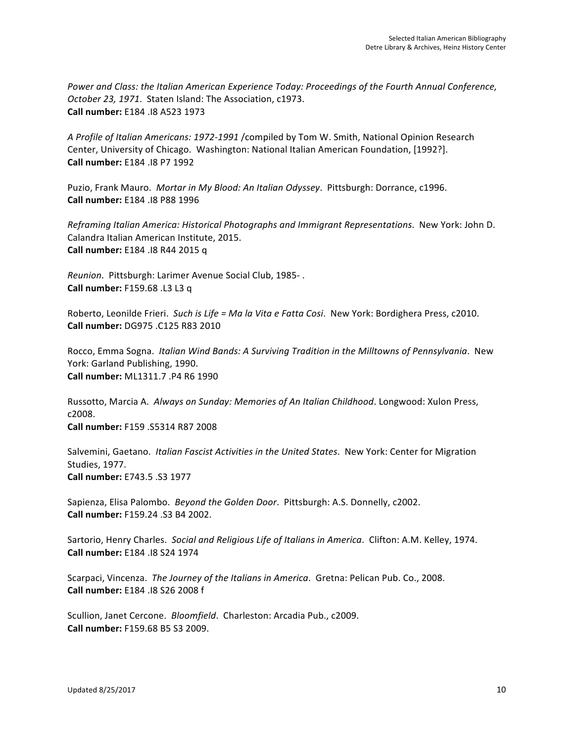Power and Class: the Italian American Experience Today: Proceedings of the Fourth Annual Conference, *October 23, 1971.* Staten Island: The Association, c1973. **Call number:** E184 .I8 A523 1973 

A Profile of Italian Americans: 1972-1991 /compiled by Tom W. Smith, National Opinion Research Center, University of Chicago. Washington: National Italian American Foundation, [1992?]. **Call number:** E184 .I8 P7 1992

Puzio, Frank Mauro. *Mortar in My Blood: An Italian Odyssey*. Pittsburgh: Dorrance, c1996. **Call number:** E184 .I8 P88 1996

*Reframing Italian America: Historical Photographs and Immigrant Representations.* New York: John D. Calandra Italian American Institute, 2015. **Call number:** E184 .I8 R44 2015 q

*Reunion.* Pittsburgh: Larimer Avenue Social Club, 1985-. **Call number:** F159.68 .L3 L3 q

Roberto, Leonilde Frieri. Such is Life = Ma la Vita e Fatta Cosi. New York: Bordighera Press, c2010. **Call number:** DG975 .C125 R83 2010

Rocco, Emma Sogna. *Italian Wind Bands: A Surviving Tradition in the Milltowns of Pennsylvania*. New York: Garland Publishing, 1990. **Call number:** ML1311.7 .P4 R6 1990 

Russotto, Marcia A. Always on Sunday: Memories of An Italian Childhood. Longwood: Xulon Press, c2008. **Call number:** F159 .S5314 R87 2008 

Salvemini, Gaetano. *Italian Fascist Activities in the United States*. New York: Center for Migration Studies, 1977. **Call number:** E743.5 .S3 1977

Sapienza, Elisa Palombo. *Beyond the Golden Door*. Pittsburgh: A.S. Donnelly, c2002. **Call number:** F159.24 .S3 B4 2002. 

Sartorio, Henry Charles. Social and Religious Life of Italians in America. Clifton: A.M. Kelley, 1974. **Call number:** E184 .I8 S24 1974

Scarpaci, Vincenza. The Journey of the Italians in America. Gretna: Pelican Pub. Co., 2008. **Call number:** E184 .I8 S26 2008 f 

Scullion, Janet Cercone. *Bloomfield*. Charleston: Arcadia Pub., c2009. **Call number:** F159.68 B5 S3 2009.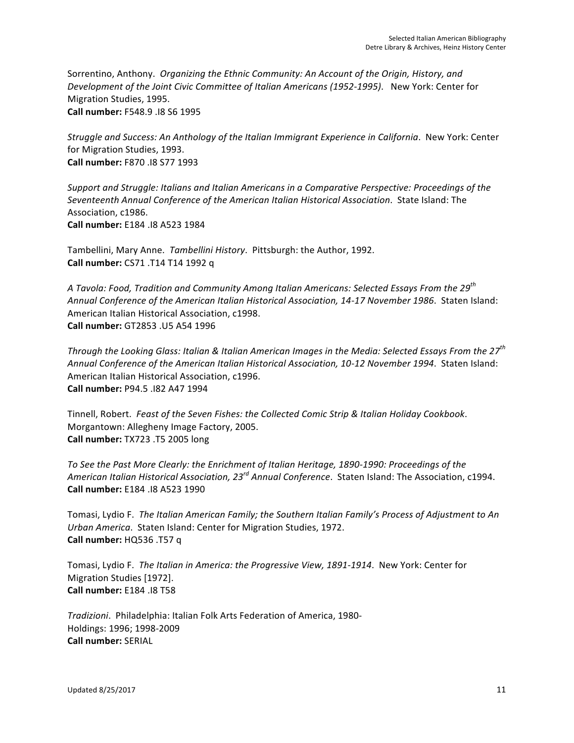Sorrentino, Anthony. *Organizing the Ethnic Community: An Account of the Origin, History, and Development of the Joint Civic Committee of Italian Americans (1952-1995).* New York: Center for Migration Studies, 1995. **Call number:** F548.9 .I8 S6 1995

*Struggle and Success: An Anthology of the Italian Immigrant Experience in California.* New York: Center for Migration Studies, 1993. **Call number:** F870 .I8 S77 1993

*Support and Struggle: Italians and Italian Americans in a Comparative Perspective: Proceedings of the* Seventeenth Annual Conference of the American Italian Historical Association. State Island: The Association, c1986. **Call number:** E184 .I8 A523 1984 

Tambellini, Mary Anne. *Tambellini History*. Pittsburgh: the Author, 1992. **Call number:** CS71 .T14 T14 1992 q

A Tavola: Food, Tradition and Community Among Italian Americans: Selected Essays From the 29<sup>th</sup> Annual Conference of the American Italian Historical Association, 14-17 November 1986. Staten Island: American Italian Historical Association, c1998. **Call number:** GT2853 .U5 A54 1996

*Through the Looking Glass: Italian & Italian American Images in the Media: Selected Essays From the 27<sup>th</sup>* Annual Conference of the American Italian Historical Association, 10-12 November 1994. Staten Island: American Italian Historical Association, c1996. **Call number:** P94.5 .I82 A47 1994 

Tinnell, Robert. Feast of the Seven Fishes: the Collected Comic Strip & Italian Holiday Cookbook. Morgantown: Allegheny Image Factory, 2005. **Call number:** TX723 .T5 2005 long

To See the Past More Clearly: the Enrichment of Italian Heritage, 1890-1990: Proceedings of the American Italian Historical Association, 23<sup>rd</sup> Annual Conference. Staten Island: The Association, c1994. **Call number:** E184 .I8 A523 1990 

Tomasi, Lydio F. The Italian American Family; the Southern Italian Family's Process of Adjustment to An Urban America. Staten Island: Center for Migration Studies, 1972. **Call number:** HQ536 .T57 q

Tomasi, Lydio F. The Italian in America: the Progressive View, 1891-1914. New York: Center for Migration Studies [1972]. **Call number:** E184 .I8 T58 

*Tradizioni*. Philadelphia: Italian Folk Arts Federation of America, 1980- Holdings: 1996; 1998-2009 **Call number:** SERIAL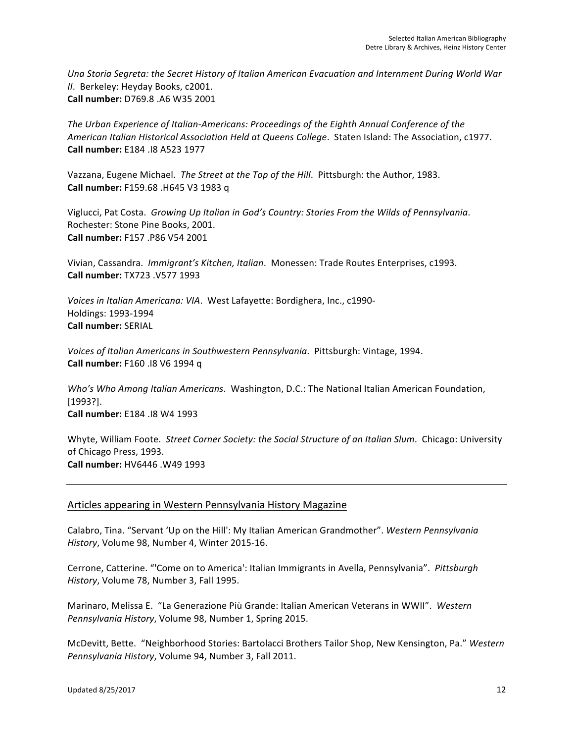Una Storia Segreta: the Secret History of Italian American Evacuation and Internment During World War *II.* Berkeley: Heyday Books, c2001. **Call number:** D769.8 .A6 W35 2001 

The Urban Experience of Italian-Americans: Proceedings of the Eighth Annual Conference of the American Italian Historical Association Held at Queens College. Staten Island: The Association, c1977. **Call number:** E184 .I8 A523 1977 

Vazzana, Eugene Michael. The Street at the Top of the Hill. Pittsburgh: the Author, 1983. **Call number:** F159.68 .H645 V3 1983 q

Viglucci, Pat Costa. Growing Up Italian in God's Country: Stories From the Wilds of Pennsylvania. Rochester: Stone Pine Books, 2001. **Call number:** F157 .P86 V54 2001 

Vivian, Cassandra. *Immigrant's Kitchen, Italian*. Monessen: Trade Routes Enterprises, c1993. **Call number:** TX723 .V577 1993 

*Voices in Italian Americana: VIA.* West Lafayette: Bordighera, Inc., c1990-Holdings: 1993-1994 **Call number:** SERIAL

*Voices of Italian Americans in Southwestern Pennsylvania.* Pittsburgh: Vintage, 1994. **Call number:** F160 .I8 V6 1994 q

*Who's Who Among Italian Americans.* Washington, D.C.: The National Italian American Foundation, [1993?]. **Call number:** E184 .I8 W4 1993

Whyte, William Foote. Street Corner Society: the Social Structure of an Italian Slum. Chicago: University of Chicago Press, 1993. **Call number:** HV6446 .W49 1993 

# Articles appearing in Western Pennsylvania History Magazine

Calabro, Tina. "Servant 'Up on the Hill': My Italian American Grandmother". Western Pennsylvania *History*, Volume 98, Number 4, Winter 2015-16.

Cerrone, Catterine. "'Come on to America': Italian Immigrants in Avella, Pennsylvania". Pittsburgh *History*, Volume 78, Number 3, Fall 1995.

Marinaro, Melissa E. "La Generazione Più Grande: Italian American Veterans in WWII". Western Pennsylvania History, Volume 98, Number 1, Spring 2015.

McDevitt, Bette. "Neighborhood Stories: Bartolacci Brothers Tailor Shop, New Kensington, Pa." Western *Pennsylvania History*, Volume 94, Number 3, Fall 2011.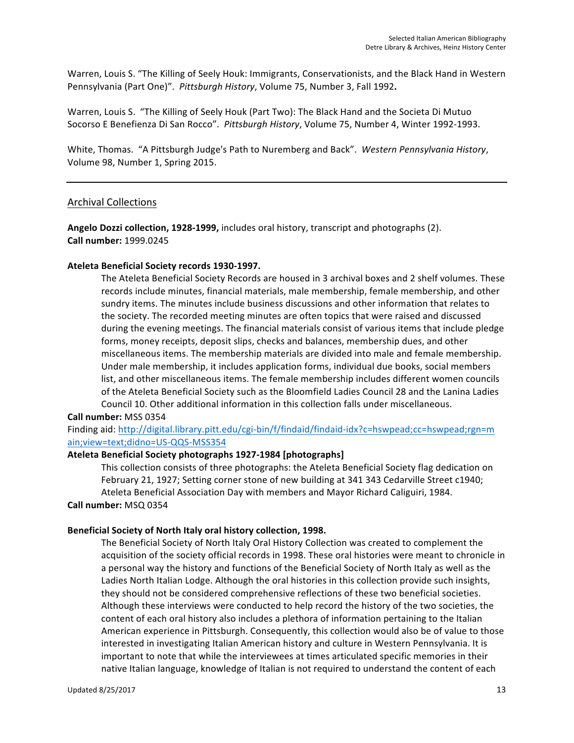Warren, Louis S. "The Killing of Seely Houk: Immigrants, Conservationists, and the Black Hand in Western Pennsylvania (Part One)". Pittsburgh History, Volume 75, Number 3, Fall 1992.

Warren, Louis S. "The Killing of Seely Houk (Part Two): The Black Hand and the Societa Di Mutuo Socorso E Benefienza Di San Rocco". Pittsburgh History, Volume 75, Number 4, Winter 1992-1993.

White, Thomas. "A Pittsburgh Judge's Path to Nuremberg and Back". Western Pennsylvania History, Volume 98, Number 1, Spring 2015.

### Archival Collections

Angelo Dozzi collection, 1928-1999, includes oral history, transcript and photographs (2). **Call number:** 1999.0245

#### Ateleta Beneficial Society records 1930-1997.

The Ateleta Beneficial Society Records are housed in 3 archival boxes and 2 shelf volumes. These records include minutes, financial materials, male membership, female membership, and other sundry items. The minutes include business discussions and other information that relates to the society. The recorded meeting minutes are often topics that were raised and discussed during the evening meetings. The financial materials consist of various items that include pledge forms, money receipts, deposit slips, checks and balances, membership dues, and other miscellaneous items. The membership materials are divided into male and female membership. Under male membership, it includes application forms, individual due books, social members list, and other miscellaneous items. The female membership includes different women councils of the Ateleta Beneficial Society such as the Bloomfield Ladies Council 28 and the Lanina Ladies Council 10. Other additional information in this collection falls under miscellaneous.

#### **Call number:** MSS 0354

Finding aid: http://digital.library.pitt.edu/cgi-bin/f/findaid/findaid-idx?c=hswpead;cc=hswpead;rgn=m ain;view=text;didno=US-QQS-MSS354

#### **Ateleta Beneficial Society photographs 1927-1984 [photographs]**

This collection consists of three photographs: the Ateleta Beneficial Society flag dedication on February 21, 1927; Setting corner stone of new building at 341 343 Cedarville Street c1940; Ateleta Beneficial Association Day with members and Mayor Richard Caliguiri, 1984.

# **Call number:** MSQ 0354

# Beneficial Society of North Italy oral history collection, 1998.

The Beneficial Society of North Italy Oral History Collection was created to complement the acquisition of the society official records in 1998. These oral histories were meant to chronicle in a personal way the history and functions of the Beneficial Society of North Italy as well as the Ladies North Italian Lodge. Although the oral histories in this collection provide such insights, they should not be considered comprehensive reflections of these two beneficial societies. Although these interviews were conducted to help record the history of the two societies, the content of each oral history also includes a plethora of information pertaining to the Italian American experience in Pittsburgh. Consequently, this collection would also be of value to those interested in investigating Italian American history and culture in Western Pennsylvania. It is important to note that while the interviewees at times articulated specific memories in their native Italian language, knowledge of Italian is not required to understand the content of each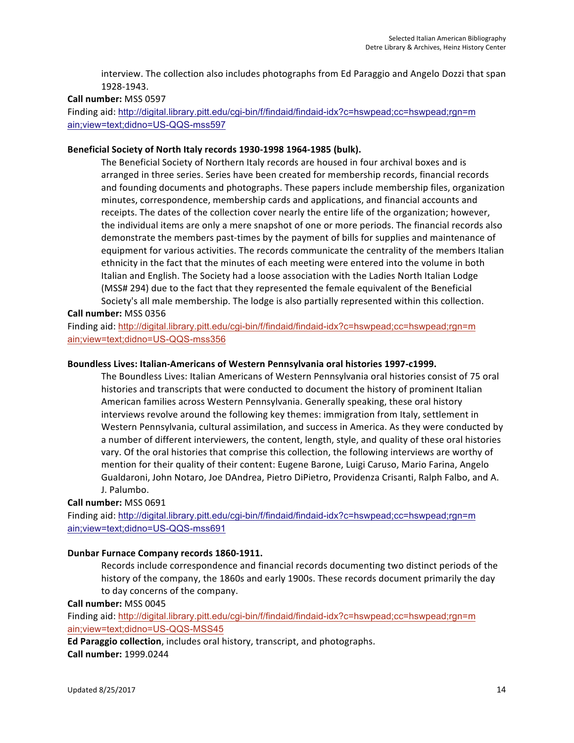interview. The collection also includes photographs from Ed Paraggio and Angelo Dozzi that span 1928-1943.

#### **Call number:** MSS 0597

Finding aid: http://digital.library.pitt.edu/cgi-bin/f/findaid/findaid-idx?c=hswpead;cc=hswpead;rgn=m ain;view=text;didno=US-QQS-mss597

#### Beneficial Society of North Italy records 1930-1998 1964-1985 (bulk).

The Beneficial Society of Northern Italy records are housed in four archival boxes and is arranged in three series. Series have been created for membership records, financial records and founding documents and photographs. These papers include membership files, organization minutes, correspondence, membership cards and applications, and financial accounts and receipts. The dates of the collection cover nearly the entire life of the organization; however, the individual items are only a mere snapshot of one or more periods. The financial records also demonstrate the members past-times by the payment of bills for supplies and maintenance of equipment for various activities. The records communicate the centrality of the members Italian ethnicity in the fact that the minutes of each meeting were entered into the volume in both Italian and English. The Society had a loose association with the Ladies North Italian Lodge (MSS# 294) due to the fact that they represented the female equivalent of the Beneficial Society's all male membership. The lodge is also partially represented within this collection.

#### **Call number:** MSS 0356

Finding aid: http://digital.library.pitt.edu/cgi-bin/f/findaid/findaid-idx?c=hswpead;cc=hswpead;rgn=m ain;view=text;didno=US-QQS-mss356

#### Boundless Lives: Italian-Americans of Western Pennsylvania oral histories 1997-c1999.

The Boundless Lives: Italian Americans of Western Pennsylvania oral histories consist of 75 oral histories and transcripts that were conducted to document the history of prominent Italian American families across Western Pennsylvania. Generally speaking, these oral history interviews revolve around the following key themes: immigration from Italy, settlement in Western Pennsylvania, cultural assimilation, and success in America. As they were conducted by a number of different interviewers, the content, length, style, and quality of these oral histories vary. Of the oral histories that comprise this collection, the following interviews are worthy of mention for their quality of their content: Eugene Barone, Luigi Caruso, Mario Farina, Angelo Gualdaroni, John Notaro, Joe DAndrea, Pietro DiPietro, Providenza Crisanti, Ralph Falbo, and A. J. Palumbo.

#### **Call number:** MSS 0691

Finding aid: http://digital.library.pitt.edu/cgi-bin/f/findaid/findaid-idx?c=hswpead;cc=hswpead;rgn=m ain;view=text;didno=US-QQS-mss691

#### Dunbar Furnace Company records 1860-1911.

Records include correspondence and financial records documenting two distinct periods of the history of the company, the 1860s and early 1900s. These records document primarily the day to day concerns of the company.

**Call number:** MSS 0045

Finding aid: http://digital.library.pitt.edu/cgi-bin/f/findaid/findaid-idx?c=hswpead;cc=hswpead;rgn=m ain;view=text;didno=US-QQS-MSS45

**Ed Paraggio collection**, includes oral history, transcript, and photographs. **Call number:** 1999.0244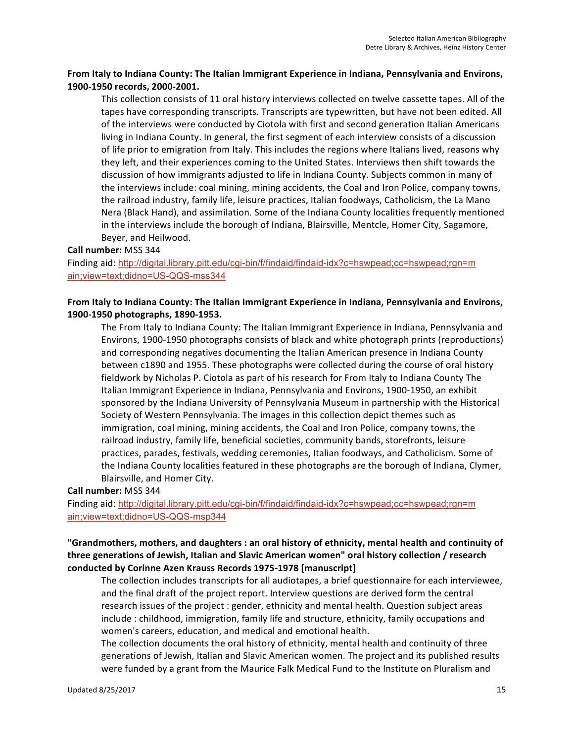# From Italy to Indiana County: The Italian Immigrant Experience in Indiana, Pennsylvania and Environs, 1900-1950 records, 2000-2001.

This collection consists of 11 oral history interviews collected on twelve cassette tapes. All of the tapes have corresponding transcripts. Transcripts are typewritten, but have not been edited. All of the interviews were conducted by Ciotola with first and second generation Italian Americans living in Indiana County. In general, the first segment of each interview consists of a discussion of life prior to emigration from Italy. This includes the regions where Italians lived, reasons why they left, and their experiences coming to the United States. Interviews then shift towards the discussion of how immigrants adjusted to life in Indiana County. Subjects common in many of the interviews include: coal mining, mining accidents, the Coal and Iron Police, company towns, the railroad industry, family life, leisure practices, Italian foodways, Catholicism, the La Mano Nera (Black Hand), and assimilation. Some of the Indiana County localities frequently mentioned in the interviews include the borough of Indiana, Blairsville, Mentcle, Homer City, Sagamore, Beyer, and Heilwood.

#### **Call number:** MSS 344

Finding aid: http://digital.library.pitt.edu/cgi-bin/f/findaid/findaid-idx?c=hswpead;cc=hswpead;rgn=m ain;view=text;didno=US-QQS-mss344

# From Italy to Indiana County: The Italian Immigrant Experience in Indiana, Pennsylvania and Environs, **1900-1950 photographs, 1890-1953.**

The From Italy to Indiana County: The Italian Immigrant Experience in Indiana, Pennsylvania and Environs, 1900-1950 photographs consists of black and white photograph prints (reproductions) and corresponding negatives documenting the Italian American presence in Indiana County between c1890 and 1955. These photographs were collected during the course of oral history fieldwork by Nicholas P. Ciotola as part of his research for From Italy to Indiana County The Italian Immigrant Experience in Indiana, Pennsylvania and Environs, 1900-1950, an exhibit sponsored by the Indiana University of Pennsylvania Museum in partnership with the Historical Society of Western Pennsylvania. The images in this collection depict themes such as immigration, coal mining, mining accidents, the Coal and Iron Police, company towns, the railroad industry, family life, beneficial societies, community bands, storefronts, leisure practices, parades, festivals, wedding ceremonies, Italian foodways, and Catholicism. Some of the Indiana County localities featured in these photographs are the borough of Indiana, Clymer, Blairsville, and Homer City.

#### **Call number:** MSS 344

Finding aid: http://digital.library.pitt.edu/cgi-bin/f/findaid/findaid-idx?c=hswpead;cc=hswpead;rgn=m ain;view=text;didno=US-QQS-msp344

# "Grandmothers, mothers, and daughters : an oral history of ethnicity, mental health and continuity of three generations of Jewish, Italian and Slavic American women" oral history collection / research conducted by Corinne Azen Krauss Records 1975-1978 [manuscript]

The collection includes transcripts for all audiotapes, a brief questionnaire for each interviewee, and the final draft of the project report. Interview questions are derived form the central research issues of the project : gender, ethnicity and mental health. Question subject areas include : childhood, immigration, family life and structure, ethnicity, family occupations and women's careers, education, and medical and emotional health.

The collection documents the oral history of ethnicity, mental health and continuity of three generations of Jewish, Italian and Slavic American women. The project and its published results were funded by a grant from the Maurice Falk Medical Fund to the Institute on Pluralism and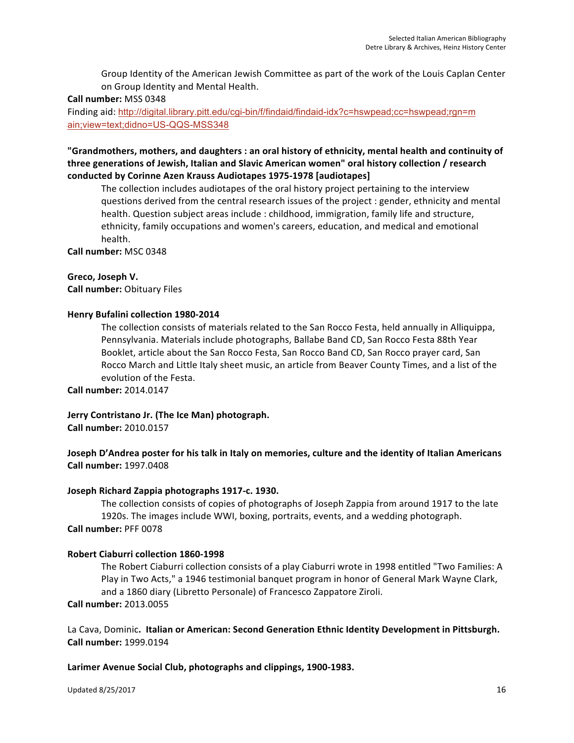Group Identity of the American Jewish Committee as part of the work of the Louis Caplan Center on Group Identity and Mental Health.

### **Call number:** MSS 0348

Finding aid: http://digital.library.pitt.edu/cgi-bin/f/findaid/findaid-idx?c=hswpead;cc=hswpead;rgn=m ain;view=text;didno=US-QQS-MSS348

# "Grandmothers, mothers, and daughters : an oral history of ethnicity, mental health and continuity of three generations of Jewish, Italian and Slavic American women" oral history collection / research **conducted by Corinne Azen Krauss Audiotapes 1975-1978 [audiotapes]**

The collection includes audiotapes of the oral history project pertaining to the interview questions derived from the central research issues of the project : gender, ethnicity and mental health. Question subject areas include : childhood, immigration, family life and structure, ethnicity, family occupations and women's careers, education, and medical and emotional health.

**Call number:** MSC 0348 

### **Greco, Joseph V.**

**Call number: Obituary Files** 

### **Henry Bufalini collection 1980-2014**

The collection consists of materials related to the San Rocco Festa, held annually in Alliquippa, Pennsylvania. Materials include photographs, Ballabe Band CD, San Rocco Festa 88th Year Booklet, article about the San Rocco Festa, San Rocco Band CD, San Rocco prayer card, San Rocco March and Little Italy sheet music, an article from Beaver County Times, and a list of the evolution of the Festa.

**Call number:** 2014.0147

**Jerry Contristano Jr. (The Ice Man) photograph. Call number:** 2010.0157

# **Joseph D'Andrea poster for his talk in Italy on memories, culture and the identity of Italian Americans Call number:** 1997.0408

# Joseph Richard Zappia photographs 1917-c. 1930.

The collection consists of copies of photographs of Joseph Zappia from around 1917 to the late 1920s. The images include WWI, boxing, portraits, events, and a wedding photograph. **Call number:** PFF 0078

# **Robert Ciaburri collection 1860-1998**

The Robert Ciaburri collection consists of a play Ciaburri wrote in 1998 entitled "Two Families: A Play in Two Acts," a 1946 testimonial banquet program in honor of General Mark Wayne Clark, and a 1860 diary (Libretto Personale) of Francesco Zappatore Ziroli.

**Call number:** 2013.0055

La Cava, Dominic. Italian or American: Second Generation Ethnic Identity Development in Pittsburgh. **Call number:** 1999.0194

Larimer Avenue Social Club, photographs and clippings, 1900-1983.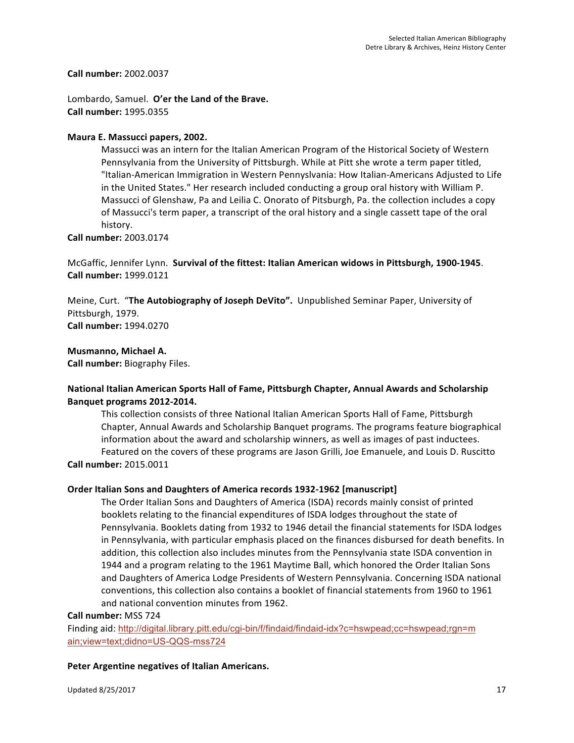**Call number:** 2002.0037

Lombardo, Samuel. O'er the Land of the Brave. **Call number:** 1995.0355

# Maura E. Massucci papers, 2002.

Massucci was an intern for the Italian American Program of the Historical Society of Western Pennsylvania from the University of Pittsburgh. While at Pitt she wrote a term paper titled, "Italian-American Immigration in Western Pennyslvania: How Italian-Americans Adjusted to Life in the United States." Her research included conducting a group oral history with William P. Massucci of Glenshaw, Pa and Leilia C. Onorato of Pitsburgh, Pa. the collection includes a copy of Massucci's term paper, a transcript of the oral history and a single cassett tape of the oral history.

**Call number:** 2003.0174

McGaffic, Jennifer Lynn. Survival of the fittest: Italian American widows in Pittsburgh, 1900-1945. **Call number:** 1999.0121

Meine, Curt. "The Autobiography of Joseph DeVito". Unpublished Seminar Paper, University of Pittsburgh, 1979. **Call number:** 1994.0270

**Musmanno, Michael A.** 

**Call number:** Biography Files.

# **National Italian American Sports Hall of Fame, Pittsburgh Chapter, Annual Awards and Scholarship Banquet programs 2012-2014.**

This collection consists of three National Italian American Sports Hall of Fame, Pittsburgh Chapter, Annual Awards and Scholarship Banquet programs. The programs feature biographical information about the award and scholarship winners, as well as images of past inductees. Featured on the covers of these programs are Jason Grilli, Joe Emanuele, and Louis D. Ruscitto **Call number:** 2015.0011

# **Order Italian Sons and Daughters of America records 1932-1962 [manuscript]**

The Order Italian Sons and Daughters of America (ISDA) records mainly consist of printed booklets relating to the financial expenditures of ISDA lodges throughout the state of Pennsylvania. Booklets dating from 1932 to 1946 detail the financial statements for ISDA lodges in Pennsylvania, with particular emphasis placed on the finances disbursed for death benefits. In addition, this collection also includes minutes from the Pennsylvania state ISDA convention in 1944 and a program relating to the 1961 Maytime Ball, which honored the Order Italian Sons and Daughters of America Lodge Presidents of Western Pennsylvania. Concerning ISDA national conventions, this collection also contains a booklet of financial statements from 1960 to 1961 and national convention minutes from 1962.

#### **Call number:** MSS 724

Finding aid: http://digital.library.pitt.edu/cgi-bin/f/findaid/findaid-idx?c=hswpead;cc=hswpead;rgn=m ain;view=text;didno=US-QQS-mss724

# Peter Argentine negatives of Italian Americans.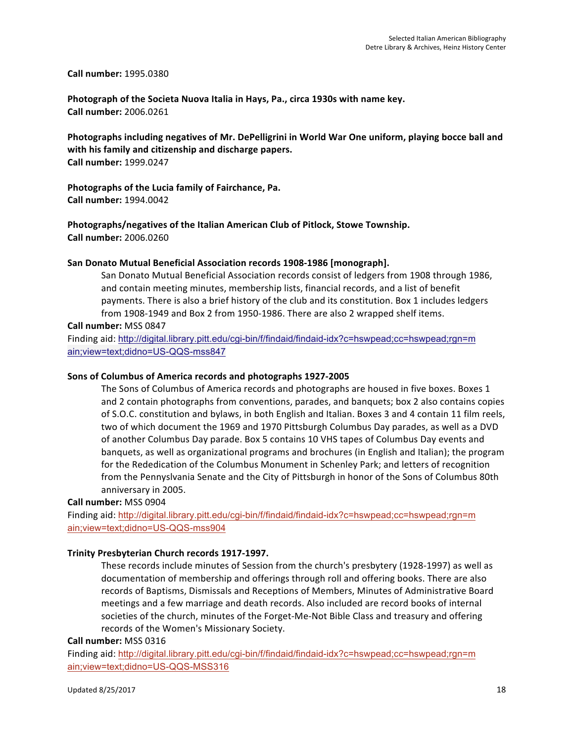#### **Call number:** 1995.0380

Photograph of the Societa Nuova Italia in Hays, Pa., circa 1930s with name key. **Call number:** 2006.0261

Photographs including negatives of Mr. DePelligrini in World War One uniform, playing bocce ball and with his family and citizenship and discharge papers. **Call number:** 1999.0247

Photographs of the Lucia family of Fairchance, Pa. **Call number:** 1994.0042

**Photographs/negatives of the Italian American Club of Pitlock, Stowe Township. Call number:** 2006.0260

#### San Donato Mutual Beneficial Association records 1908-1986 [monograph].

San Donato Mutual Beneficial Association records consist of ledgers from 1908 through 1986, and contain meeting minutes, membership lists, financial records, and a list of benefit payments. There is also a brief history of the club and its constitution. Box 1 includes ledgers from 1908-1949 and Box 2 from 1950-1986. There are also 2 wrapped shelf items.

**Call number:** MSS 0847

Finding aid: http://digital.library.pitt.edu/cgi-bin/f/findaid/findaid-idx?c=hswpead;cc=hswpead;rgn=m ain;view=text;didno=US-QQS-mss847

#### Sons of Columbus of America records and photographs 1927-2005

The Sons of Columbus of America records and photographs are housed in five boxes. Boxes 1 and 2 contain photographs from conventions, parades, and banquets; box 2 also contains copies of S.O.C. constitution and bylaws, in both English and Italian. Boxes 3 and 4 contain 11 film reels, two of which document the 1969 and 1970 Pittsburgh Columbus Day parades, as well as a DVD of another Columbus Day parade. Box 5 contains 10 VHS tapes of Columbus Day events and banquets, as well as organizational programs and brochures (in English and Italian); the program for the Rededication of the Columbus Monument in Schenley Park; and letters of recognition from the Pennyslvania Senate and the City of Pittsburgh in honor of the Sons of Columbus 80th anniversary in 2005.

#### **Call number:** MSS 0904

Finding aid: http://digital.library.pitt.edu/cgi-bin/f/findaid/findaid-idx?c=hswpead;cc=hswpead;rgn=m ain;view=text;didno=US-QQS-mss904

#### **Trinity Presbyterian Church records 1917-1997.**

These records include minutes of Session from the church's presbytery (1928-1997) as well as documentation of membership and offerings through roll and offering books. There are also records of Baptisms, Dismissals and Receptions of Members, Minutes of Administrative Board meetings and a few marriage and death records. Also included are record books of internal societies of the church, minutes of the Forget-Me-Not Bible Class and treasury and offering records of the Women's Missionary Society.

#### **Call number:** MSS 0316

Finding aid: http://digital.library.pitt.edu/cgi-bin/f/findaid/findaid-idx?c=hswpead;cc=hswpead;rgn=m ain;view=text;didno=US-QQS-MSS316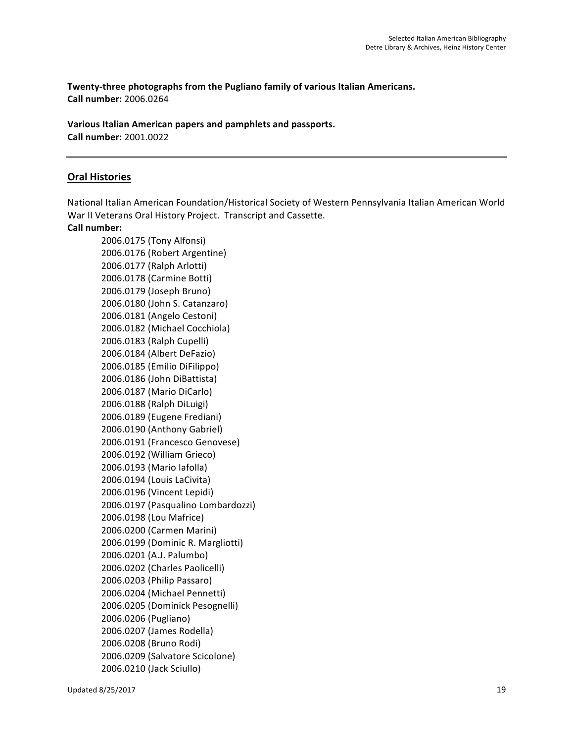Twenty-three photographs from the Pugliano family of various Italian Americans. **Call number:** 2006.0264

Various Italian American papers and pamphlets and passports. **Call number:** 2001.0022

# **Oral Histories**

National Italian American Foundation/Historical Society of Western Pennsylvania Italian American World War II Veterans Oral History Project. Transcript and Cassette.

### **Call number:**

2006.0175 (Tony Alfonsi) 2006.0176 (Robert Argentine) 2006.0177 (Ralph Arlotti) 2006.0178 (Carmine Botti) 2006.0179 (Joseph Bruno) 2006.0180 (John S. Catanzaro) 2006.0181 (Angelo Cestoni) 2006.0182 (Michael Cocchiola) 2006.0183 (Ralph Cupelli) 2006.0184 (Albert DeFazio) 2006.0185 (Emilio DiFilippo) 2006.0186 (John DiBattista) 2006.0187 (Mario DiCarlo) 2006.0188 (Ralph DiLuigi) 2006.0189 (Eugene Frediani) 2006.0190 (Anthony Gabriel) 2006.0191 (Francesco Genovese) 2006.0192 (William Grieco) 2006.0193 (Mario Iafolla) 2006.0194 (Louis LaCivita) 2006.0196 (Vincent Lepidi) 2006.0197 (Pasqualino Lombardozzi) 2006.0198 (Lou Mafrice) 2006.0200 (Carmen Marini) 2006.0199 (Dominic R. Margliotti) 2006.0201 (A.J. Palumbo) 2006.0202 (Charles Paolicelli) 2006.0203 (Philip Passaro) 2006.0204 (Michael Pennetti) 2006.0205 (Dominick Pesognelli) 2006.0206 (Pugliano) 2006.0207 (James Rodella) 2006.0208 (Bruno Rodi) 2006.0209 (Salvatore Scicolone) 2006.0210 (Jack Sciullo)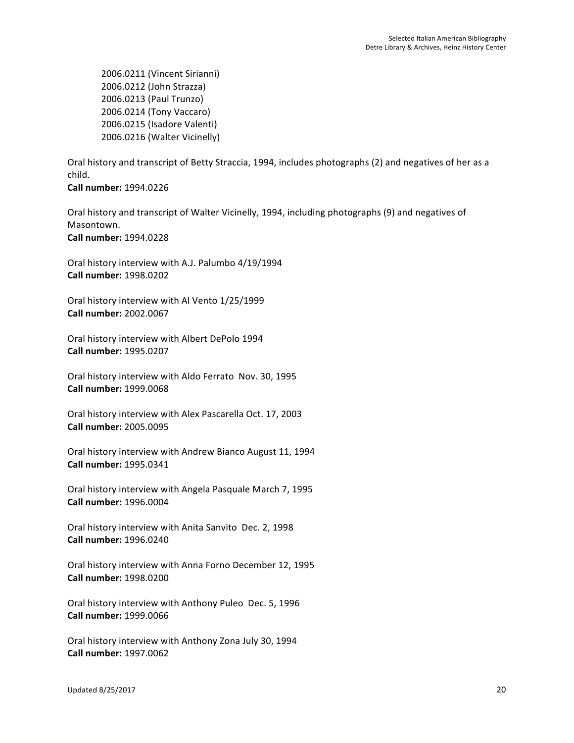2006.0211 (Vincent Sirianni) 2006.0212 (John Strazza) 2006.0213 (Paul Trunzo) 2006.0214 (Tony Vaccaro) 2006.0215 (Isadore Valenti) 2006.0216 (Walter Vicinelly)

Oral history and transcript of Betty Straccia, 1994, includes photographs (2) and negatives of her as a child. 

**Call number:** 1994.0226

Oral history and transcript of Walter Vicinelly, 1994, including photographs (9) and negatives of Masontown. **Call number:** 1994.0228

Oral history interview with A.J. Palumbo 4/19/1994 **Call number:** 1998.0202

Oral history interview with Al Vento 1/25/1999 **Call number:** 2002.0067

Oral history interview with Albert DePolo 1994 **Call number:** 1995.0207

Oral history interview with Aldo Ferrato Nov. 30, 1995 **Call number:** 1999.0068

Oral history interview with Alex Pascarella Oct. 17, 2003 **Call number:** 2005.0095

Oral history interview with Andrew Bianco August 11, 1994 **Call number:** 1995.0341

Oral history interview with Angela Pasquale March 7, 1995 **Call number:** 1996.0004

Oral history interview with Anita Sanvito Dec. 2, 1998 **Call number:** 1996.0240

Oral history interview with Anna Forno December 12, 1995 **Call number:** 1998.0200

Oral history interview with Anthony Puleo Dec. 5, 1996 **Call number:** 1999.0066

Oral history interview with Anthony Zona July 30, 1994 **Call number:** 1997.0062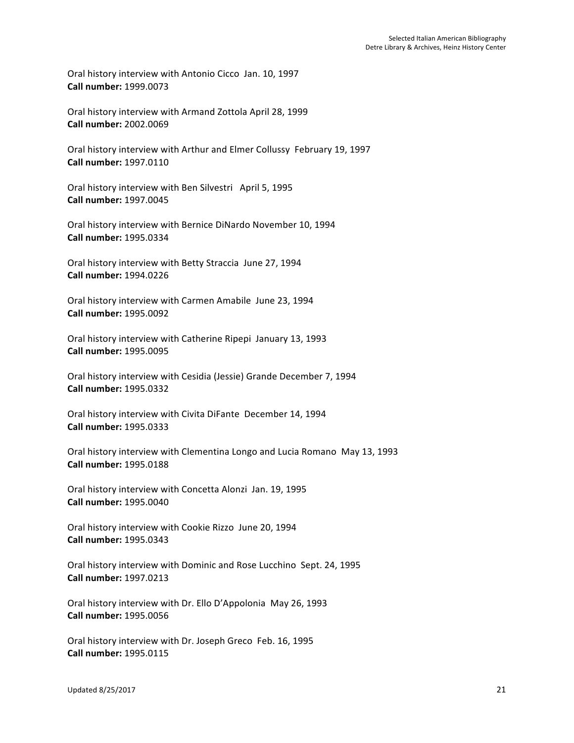Oral history interview with Antonio Cicco Jan. 10, 1997 **Call number:** 1999.0073

Oral history interview with Armand Zottola April 28, 1999 **Call number:** 2002.0069

Oral history interview with Arthur and Elmer Collussy February 19, 1997 **Call number:** 1997.0110

Oral history interview with Ben Silvestri April 5, 1995 **Call number:** 1997.0045

Oral history interview with Bernice DiNardo November 10, 1994 **Call number:** 1995.0334

Oral history interview with Betty Straccia June 27, 1994 **Call number:** 1994.0226

Oral history interview with Carmen Amabile June 23, 1994 **Call number:** 1995.0092

Oral history interview with Catherine Ripepi January 13, 1993 **Call number:** 1995.0095

Oral history interview with Cesidia (Jessie) Grande December 7, 1994 **Call number:** 1995.0332

Oral history interview with Civita DiFante December 14, 1994 **Call number:** 1995.0333

Oral history interview with Clementina Longo and Lucia Romano May 13, 1993 **Call number:** 1995.0188

Oral history interview with Concetta Alonzi Jan. 19, 1995 **Call number:** 1995.0040

Oral history interview with Cookie Rizzo June 20, 1994 **Call number:** 1995.0343

Oral history interview with Dominic and Rose Lucchino Sept. 24, 1995 **Call number:** 1997.0213

Oral history interview with Dr. Ello D'Appolonia May 26, 1993 **Call number:** 1995.0056

Oral history interview with Dr. Joseph Greco Feb. 16, 1995 **Call number:** 1995.0115